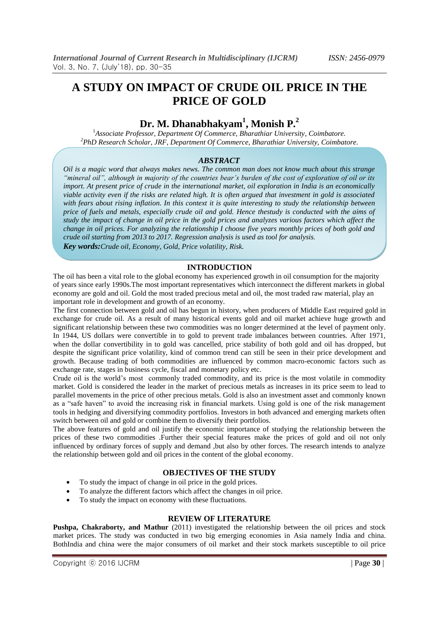# **A STUDY ON IMPACT OF CRUDE OIL PRICE IN THE PRICE OF GOLD**

## **Dr. M. Dhanabhakyam<sup>1</sup> , Monish P. 2**

<sup>1</sup>*Associate Professor, Department Of Commerce, Bharathiar University, Coimbatore. <sup>2</sup>PhD Research Scholar, JRF, Department Of Commerce, Bharathiar University, Coimbatore.*

#### *ABSTRACT*

*Oil is a magic word that always makes news. The common man does not know much about this strange "mineral oil", although in majority of the countries bear's burden of the cost of exploration of oil or its import. At present price of crude in the international market, oil exploration in India is an economically viable activity even if the risks are related high. It is often argued that investment in gold is associated with fears about rising inflation. In this context it is quite interesting to study the relationship between price of fuels and metals, especially crude oil and gold. Hence thestudy is conducted with the aims of study the impact of change in oil price in the gold prices and analyzes various factors which affect the change in oil prices. For analyzing the relationship I choose five years monthly prices of both gold and crude oil starting from 2013 to 2017. Regression analysis is used as tool for analysis.*

*Key words:Crude oil, Economy, Gold, Price volatility, Risk.*

#### **INTRODUCTION**

The oil has been a vital role to the global economy has experienced growth in oil consumption for the majority of years since early 1990s.The most important representatives which interconnect the different markets in global economy are gold and oil. Gold the most traded precious metal and oil, the most traded raw material, play an important role in development and growth of an economy.

The first connection between gold and oil has begun in history, when producers of Middle East required gold in exchange for crude oil. As a result of many historical events gold and oil market achieve huge growth and significant relationship between these two commodities was no longer determined at the level of payment only. In 1944, US dollars were convertible in to gold to prevent trade imbalances between countries. After 1971, when the dollar convertibility in to gold was cancelled, price stability of both gold and oil has dropped, but despite the significant price volatility, kind of common trend can still be seen in their price development and growth. Because trading of both commodities are influenced by common macro-economic factors such as exchange rate, stages in business cycle, fiscal and monetary policy etc.

Crude oil is the world's most commonly traded commodity, and its price is the most volatile in commodity market. Gold is considered the leader in the market of precious metals as increases in its price seem to lead to parallel movements in the price of other precious metals. Gold is also an investment asset and commonly known as a "safe haven" to avoid the increasing risk in financial markets. Using gold is one of the risk management tools in hedging and diversifying commodity portfolios. Investors in both advanced and emerging markets often switch between oil and gold or combine them to diversify their portfolios.

The above features of gold and oil justify the economic importance of studying the relationship between the prices of these two commodities .Further their special features make the prices of gold and oil not only influenced by ordinary forces of supply and demand ,but also by other forces. The research intends to analyze the relationship between gold and oil prices in the content of the global economy.

#### **OBJECTIVES OF THE STUDY**

- To study the impact of change in oil price in the gold prices.
- To analyze the different factors which affect the changes in oil price.
- To study the impact on economy with these fluctuations.

#### **REVIEW OF LITERATURE**

**Pushpa, Chakraborty, and Mathur** (2011) investigated the relationship between the oil prices and stock market prices. The study was conducted in two big emerging economies in Asia namely India and china. BothIndia and china were the major consumers of oil market and their stock markets susceptible to oil price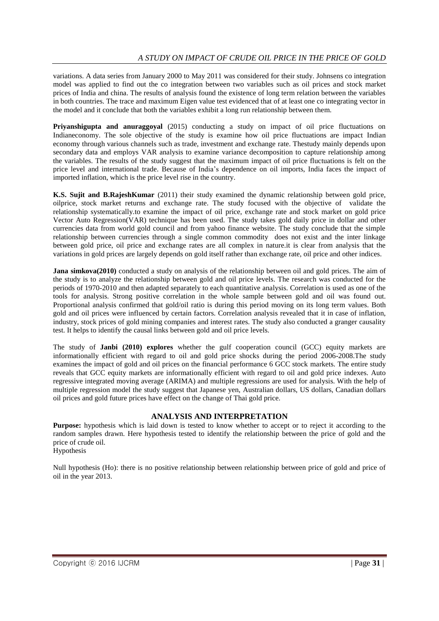variations. A data series from January 2000 to May 2011 was considered for their study. Johnsens co integration model was applied to find out the co integration between two variables such as oil prices and stock market prices of India and china. The results of analysis found the existence of long term relation between the variables in both countries. The trace and maximum Eigen value test evidenced that of at least one co integrating vector in the model and it conclude that both the variables exhibit a long run relationship between them.

**Priyanshigupta and anuraggoyal** (2015) conducting a study on impact of oil price fluctuations on Indianeconomy. The sole objective of the study is examine how oil price fluctuations are impact Indian economy through various channels such as trade, investment and exchange rate. Thestudy mainly depends upon secondary data and employs VAR analysis to examine variance decomposition to capture relationship among the variables. The results of the study suggest that the maximum impact of oil price fluctuations is felt on the price level and international trade. Because of India's dependence on oil imports, India faces the impact of imported inflation, which is the price level rise in the country.

**K.S. Sujit and B.RajeshKumar** (2011) their study examined the dynamic relationship between gold price, oilprice, stock market returns and exchange rate. The study focused with the objective of validate the relationship systematically.to examine the impact of oil price, exchange rate and stock market on gold price Vector Auto Regression(VAR) technique has been used. The study takes gold daily price in dollar and other currencies data from world gold council and from yahoo finance website. The study conclude that the simple relationship between currencies through a single common commodity does not exist and the inter linkage between gold price, oil price and exchange rates are all complex in nature.it is clear from analysis that the variations in gold prices are largely depends on gold itself rather than exchange rate, oil price and other indices.

**Jana simkova(2010)** conducted a study on analysis of the relationship between oil and gold prices. The aim of the study is to analyze the relationship between gold and oil price levels. The research was conducted for the periods of 1970-2010 and then adapted separately to each quantitative analysis. Correlation is used as one of the tools for analysis. Strong positive correlation in the whole sample between gold and oil was found out. Proportional analysis confirmed that gold/oil ratio is during this period moving on its long term values. Both gold and oil prices were influenced by certain factors. Correlation analysis revealed that it in case of inflation, industry, stock prices of gold mining companies and interest rates. The study also conducted a granger causality test. It helps to identify the causal links between gold and oil price levels.

The study of **Janbi (2010) explores** whether the gulf cooperation council (GCC) equity markets are informationally efficient with regard to oil and gold price shocks during the period 2006-2008.The study examines the impact of gold and oil prices on the financial performance 6 GCC stock markets. The entire study reveals that GCC equity markets are informationally efficient with regard to oil and gold price indexes. Auto regressive integrated moving average (ARIMA) and multiple regressions are used for analysis. With the help of multiple regression model the study suggest that Japanese yen, Australian dollars, US dollars, Canadian dollars oil prices and gold future prices have effect on the change of Thai gold price.

#### **ANALYSIS AND INTERPRETATION**

**Purpose:** hypothesis which is laid down is tested to know whether to accept or to reject it according to the random samples drawn. Here hypothesis tested to identify the relationship between the price of gold and the price of crude oil. Hypothesis

Null hypothesis (Ho): there is no positive relationship between relationship between price of gold and price of oil in the year 2013.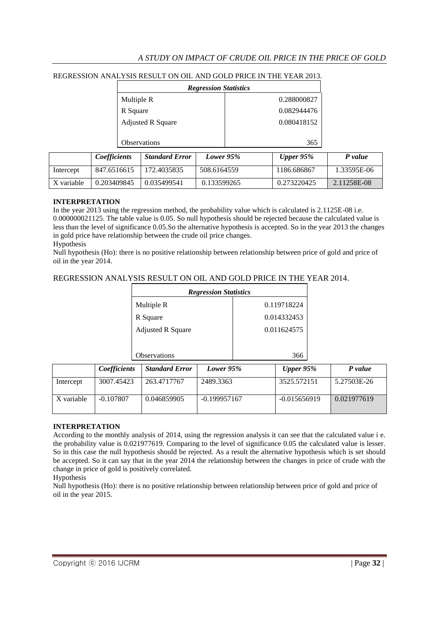## *A STUDY ON IMPACT OF CRUDE OIL PRICE IN THE PRICE OF GOLD*

#### REGRESSION ANALYSIS RESULT ON OIL AND GOLD PRICE IN THE YEAR 2013.

| <b>Regression Statistics</b> |             |  |  |  |
|------------------------------|-------------|--|--|--|
| Multiple R                   | 0.288000827 |  |  |  |
| R Square                     | 0.082944476 |  |  |  |
| <b>Adjusted R Square</b>     | 0.080418152 |  |  |  |
|                              |             |  |  |  |
| Observations                 | 365         |  |  |  |

|            | <i>Coefficients</i> | <b>Standard Error</b> | Lower 95%   | Upper $95\%$ | P value     |
|------------|---------------------|-----------------------|-------------|--------------|-------------|
| Intercept  | 847.6516615         | 172.4035835           | 508.6164559 | 1186.686867  | 1.33595E-06 |
| X variable | 0.203409845         | 0.035499541           | 0.133599265 | 0.273220425  | 2.11258E-08 |

#### **INTERPRETATION**

In the year 2013 using the regression method, the probability value which is calculated is  $2.1125E-08$  i.e. 0.000000021125. The table value is 0.05. So null hypothesis should be rejected because the calculated value is less than the level of significance 0.05.So the alternative hypothesis is accepted. So in the year 2013 the changes in gold price have relationship between the crude oil price changes. Hypothesis

Null hypothesis (Ho): there is no positive relationship between relationship between price of gold and price of oil in the year 2014.

#### REGRESSION ANALYSIS RESULT ON OIL AND GOLD PRICE IN THE YEAR 2014.

| <b>Regression Statistics</b> |             |  |  |  |  |
|------------------------------|-------------|--|--|--|--|
| Multiple R                   | 0.119718224 |  |  |  |  |
| R Square                     | 0.014332453 |  |  |  |  |
| <b>Adjusted R Square</b>     | 0.011624575 |  |  |  |  |
|                              |             |  |  |  |  |
| Observations                 |             |  |  |  |  |

|            | <i>Coefficients</i> | <b>Standard Error</b> | Lower 95%      | Upper $95\%$   | P value     |
|------------|---------------------|-----------------------|----------------|----------------|-------------|
| Intercept  | 3007.45423          | 263.4717767           | 2489.3363      | 3525.572151    | 5.27503E-26 |
| X variable | $-0.107807$         | 0.046859905           | $-0.199957167$ | $-0.015656919$ | 0.021977619 |

#### **INTERPRETATION**

According to the monthly analysis of 2014, using the regression analysis it can see that the calculated value i e. the probability value is 0.021977619. Comparing to the level of significance 0.05 the calculated value is lesser. So in this case the null hypothesis should be rejected. As a result the alternative hypothesis which is set should be accepted. So it can say that in the year 2014 the relationship between the changes in price of crude with the change in price of gold is positively correlated.

#### Hypothesis

Null hypothesis (Ho): there is no positive relationship between relationship between price of gold and price of oil in the year 2015.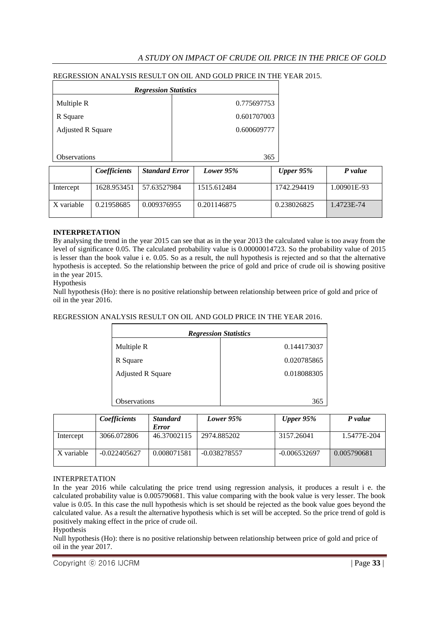## *A STUDY ON IMPACT OF CRUDE OIL PRICE IN THE PRICE OF GOLD*

#### REGRESSION ANALYSIS RESULT ON OIL AND GOLD PRICE IN THE YEAR 2015.

| <b>Regression Statistics</b> |             |  |  |  |
|------------------------------|-------------|--|--|--|
| Multiple R                   | 0.775697753 |  |  |  |
| R Square                     | 0.601707003 |  |  |  |
| <b>Adjusted R Square</b>     | 0.600609777 |  |  |  |
|                              |             |  |  |  |
| <b>Observations</b>          | 365         |  |  |  |

|            | <b>Coefficients</b> | <b>Standard Error</b> | Lower 95%   | Upper $95\%$ | P value     |
|------------|---------------------|-----------------------|-------------|--------------|-------------|
| Intercept  | 1628.953451         | 57.63527984           | 1515.612484 | 1742.294419  | 1.00901E-93 |
| X variable | 0.21958685          | 0.009376955           | 0.201146875 | 0.238026825  | 1.4723E-74  |

#### **INTERPRETATION**

By analysing the trend in the year 2015 can see that as in the year 2013 the calculated value is too away from the level of significance 0.05. The calculated probability value is 0.00000014723. So the probability value of 2015 is lesser than the book value i e. 0.05. So as a result, the null hypothesis is rejected and so that the alternative hypothesis is accepted. So the relationship between the price of gold and price of crude oil is showing positive in the year 2015.

#### Hypothesis

Null hypothesis (Ho): there is no positive relationship between relationship between price of gold and price of oil in the year 2016.

#### REGRESSION ANALYSIS RESULT ON OIL AND GOLD PRICE IN THE YEAR 2016.

| <b>Regression Statistics</b> |             |  |  |  |
|------------------------------|-------------|--|--|--|
| Multiple R                   | 0.144173037 |  |  |  |
| R Square                     | 0.020785865 |  |  |  |
| <b>Adjusted R Square</b>     | 0.018088305 |  |  |  |
|                              |             |  |  |  |
| Observations                 | 365         |  |  |  |

|            | Coefficients   | <b>Standard</b><br><b>Error</b> | Lower 95%      | Upper $95\%$   | P value     |
|------------|----------------|---------------------------------|----------------|----------------|-------------|
| Intercept  | 3066.072806    | 46.37002115                     | 2974.885202    | 3157.26041     | 1.5477E-204 |
| X variable | $-0.022405627$ | 0.008071581                     | $-0.038278557$ | $-0.006532697$ | 0.005790681 |

#### INTERPRETATION

In the year 2016 while calculating the price trend using regression analysis, it produces a result i e. the calculated probability value is 0.005790681. This value comparing with the book value is very lesser. The book value is 0.05. In this case the null hypothesis which is set should be rejected as the book value goes beyond the calculated value. As a result the alternative hypothesis which is set will be accepted. So the price trend of gold is positively making effect in the price of crude oil.

#### Hypothesis

Null hypothesis (Ho): there is no positive relationship between relationship between price of gold and price of oil in the year 2017.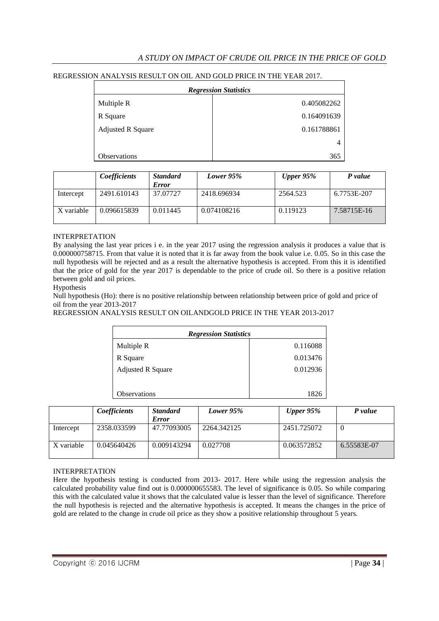## *A STUDY ON IMPACT OF CRUDE OIL PRICE IN THE PRICE OF GOLD*

#### REGRESSION ANALYSIS RESULT ON OIL AND GOLD PRICE IN THE YEAR 2017.

| <b>Regression Statistics</b> |             |  |  |
|------------------------------|-------------|--|--|
| Multiple R                   | 0.405082262 |  |  |
| R Square                     | 0.164091639 |  |  |
| <b>Adjusted R Square</b>     | 0.161788861 |  |  |
|                              | 4           |  |  |
| Observations                 | 365         |  |  |

|            | Coefficients | <b>Standard</b><br><b>Error</b> | Lower 95%   | Upper $95\%$ | P value     |
|------------|--------------|---------------------------------|-------------|--------------|-------------|
| Intercept  | 2491.610143  | 37.07727                        | 2418.696934 | 2564.523     | 6.7753E-207 |
| X variable | 0.096615839  | 0.011445                        | 0.074108216 | 0.119123     | 7.58715E-16 |

#### INTERPRETATION

By analysing the last year prices i e. in the year 2017 using the regression analysis it produces a value that is 0.000000758715. From that value it is noted that it is far away from the book value i.e. 0.05. So in this case the null hypothesis will be rejected and as a result the alternative hypothesis is accepted. From this it is identified that the price of gold for the year 2017 is dependable to the price of crude oil. So there is a positive relation between gold and oil prices.

Hypothesis

Null hypothesis (Ho): there is no positive relationship between relationship between price of gold and price of oil from the year 2013-2017

REGRESSION ANALYSIS RESULT ON OILANDGOLD PRICE IN THE YEAR 2013-2017

| <b>Regression Statistics</b> |          |  |  |  |
|------------------------------|----------|--|--|--|
| Multiple R                   | 0.116088 |  |  |  |
| R Square                     | 0.013476 |  |  |  |
| <b>Adjusted R Square</b>     | 0.012936 |  |  |  |
|                              |          |  |  |  |
| <b>Observations</b>          | 1826     |  |  |  |

|            | Coefficients | <b>Standard</b><br><b>Error</b> | Lower 95%   | Upper $95\%$ | P value     |
|------------|--------------|---------------------------------|-------------|--------------|-------------|
| Intercept  | 2358.033599  | 47.77093005                     | 2264.342125 | 2451.725072  |             |
| X variable | 0.045640426  | 0.009143294                     | 0.027708    | 0.063572852  | 6.55583E-07 |

#### INTERPRETATION

Here the hypothesis testing is conducted from 2013- 2017. Here while using the regression analysis the calculated probability value find out is 0.000000655583. The level of significance is 0.05. So while comparing this with the calculated value it shows that the calculated value is lesser than the level of significance. Therefore the null hypothesis is rejected and the alternative hypothesis is accepted. It means the changes in the price of gold are related to the change in crude oil price as they show a positive relationship throughout 5 years.